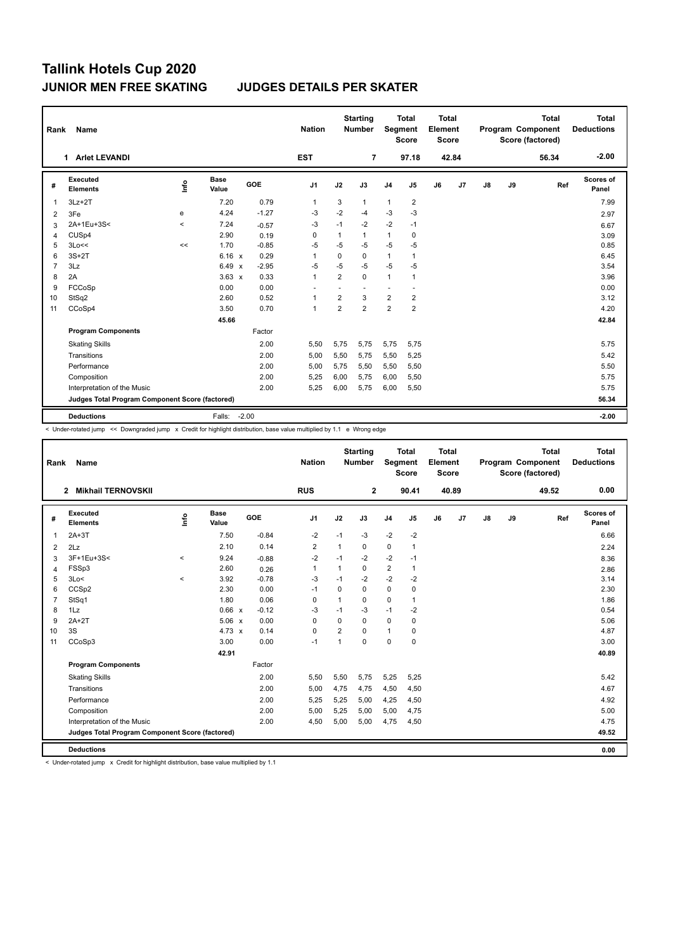| Rank           | Name                                            |               |                      |         | <b>Nation</b>  |                | <b>Starting</b><br><b>Number</b> | Segment                  | <b>Total</b><br><b>Score</b> | <b>Total</b><br>Element<br>Score |       |    |    | <b>Total</b><br>Program Component<br>Score (factored) | Total<br><b>Deductions</b> |
|----------------|-------------------------------------------------|---------------|----------------------|---------|----------------|----------------|----------------------------------|--------------------------|------------------------------|----------------------------------|-------|----|----|-------------------------------------------------------|----------------------------|
|                | 1 Arlet LEVANDI                                 |               |                      |         | <b>EST</b>     |                | $\overline{7}$                   |                          | 97.18                        |                                  | 42.84 |    |    | 56.34                                                 | $-2.00$                    |
| #              | Executed<br><b>Elements</b>                     | $\frac{6}{2}$ | <b>Base</b><br>Value | GOE     | J <sub>1</sub> | J2             | J3                               | J <sub>4</sub>           | J <sub>5</sub>               | J6                               | J7    | J8 | J9 | Ref                                                   | Scores of<br>Panel         |
| 1              | $3Lz + 2T$                                      |               | 7.20                 | 0.79    | $\mathbf{1}$   | 3              | $\mathbf{1}$                     | $\mathbf{1}$             | $\overline{2}$               |                                  |       |    |    |                                                       | 7.99                       |
| 2              | 3Fe                                             | e             | 4.24                 | $-1.27$ | -3             | $-2$           | $-4$                             | $-3$                     | $-3$                         |                                  |       |    |    |                                                       | 2.97                       |
| 3              | 2A+1Eu+3S<                                      | $\prec$       | 7.24                 | $-0.57$ | -3             | $-1$           | $-2$                             | $-2$                     | $-1$                         |                                  |       |    |    |                                                       | 6.67                       |
| 4              | CUS <sub>p4</sub>                               |               | 2.90                 | 0.19    | 0              | 1              | 1                                | $\mathbf{1}$             | 0                            |                                  |       |    |    |                                                       | 3.09                       |
| 5              | 3Lo<<                                           | $\prec$       | 1.70                 | $-0.85$ | $-5$           | $-5$           | $-5$                             | $-5$                     | $-5$                         |                                  |       |    |    |                                                       | 0.85                       |
| 6              | $3S+2T$                                         |               | 6.16 x               | 0.29    | 1              | $\mathbf 0$    | 0                                | $\mathbf{1}$             | $\mathbf{1}$                 |                                  |       |    |    |                                                       | 6.45                       |
| $\overline{7}$ | 3Lz                                             |               | $6.49 \times$        | $-2.95$ | $-5$           | $-5$           | $-5$                             | $-5$                     | $-5$                         |                                  |       |    |    |                                                       | 3.54                       |
| 8              | 2A                                              |               | $3.63 \times$        | 0.33    | $\mathbf{1}$   | 2              | $\Omega$                         | $\mathbf{1}$             | 1                            |                                  |       |    |    |                                                       | 3.96                       |
| 9              | FCCoSp                                          |               | 0.00                 | 0.00    |                |                |                                  | $\overline{\phantom{a}}$ |                              |                                  |       |    |    |                                                       | 0.00                       |
| 10             | StSq2                                           |               | 2.60                 | 0.52    | 1              | 2              | 3                                | 2                        | 2                            |                                  |       |    |    |                                                       | 3.12                       |
| 11             | CCoSp4                                          |               | 3.50                 | 0.70    | $\overline{1}$ | $\overline{2}$ | $\overline{2}$                   | $\overline{2}$           | $\overline{2}$               |                                  |       |    |    |                                                       | 4.20                       |
|                |                                                 |               | 45.66                |         |                |                |                                  |                          |                              |                                  |       |    |    |                                                       | 42.84                      |
|                | <b>Program Components</b>                       |               |                      | Factor  |                |                |                                  |                          |                              |                                  |       |    |    |                                                       |                            |
|                | <b>Skating Skills</b>                           |               |                      | 2.00    | 5,50           | 5,75           | 5,75                             | 5,75                     | 5,75                         |                                  |       |    |    |                                                       | 5.75                       |
|                | Transitions                                     |               |                      | 2.00    | 5,00           | 5,50           | 5,75                             | 5,50                     | 5,25                         |                                  |       |    |    |                                                       | 5.42                       |
|                | Performance                                     |               |                      | 2.00    | 5,00           | 5,75           | 5,50                             | 5,50                     | 5,50                         |                                  |       |    |    |                                                       | 5.50                       |
|                | Composition                                     |               |                      | 2.00    | 5,25           | 6,00           | 5,75                             | 6,00                     | 5,50                         |                                  |       |    |    |                                                       | 5.75                       |
|                | Interpretation of the Music                     |               |                      | 2.00    | 5,25           | 6,00           | 5,75                             | 6,00                     | 5,50                         |                                  |       |    |    |                                                       | 5.75                       |
|                | Judges Total Program Component Score (factored) |               |                      |         |                |                |                                  |                          |                              |                                  |       |    |    |                                                       | 56.34                      |
|                | <b>Deductions</b>                               |               | Falls:               | $-2.00$ |                |                |                                  |                          |                              |                                  |       |    |    |                                                       | $-2.00$                    |

< Under-rotated jump << Downgraded jump x Credit for highlight distribution, base value multiplied by 1.1 e Wrong edge

| <b>Name</b><br>Rank |                                                 |         |                      |            | <b>Nation</b> |                | <b>Starting</b><br><b>Number</b> |                | <b>Total</b><br>Segment<br><b>Score</b> | <b>Total</b><br>Element<br><b>Score</b> |                | Program Component |    | <b>Total</b><br>Score (factored) | <b>Total</b><br><b>Deductions</b> |
|---------------------|-------------------------------------------------|---------|----------------------|------------|---------------|----------------|----------------------------------|----------------|-----------------------------------------|-----------------------------------------|----------------|-------------------|----|----------------------------------|-----------------------------------|
|                     | <b>Mikhail TERNOVSKII</b><br>$\mathbf{2}$       |         |                      |            | <b>RUS</b>    |                | $\mathbf{2}$                     |                | 90.41                                   |                                         | 40.89          |                   |    | 49.52                            | 0.00                              |
| #                   | Executed<br><b>Elements</b>                     | lnfo    | <b>Base</b><br>Value | <b>GOE</b> | J1            | J2             | J3                               | J <sub>4</sub> | J5                                      | J6                                      | J <sub>7</sub> | J8                | J9 | Ref                              | Scores of<br>Panel                |
| $\mathbf{1}$        | $2A+3T$                                         |         | 7.50                 | $-0.84$    | $-2$          | $-1$           | $-3$                             | $-2$           | $-2$                                    |                                         |                |                   |    |                                  | 6.66                              |
| 2                   | 2Lz                                             |         | 2.10                 | 0.14       | 2             | 1              | 0                                | 0              | $\mathbf{1}$                            |                                         |                |                   |    |                                  | 2.24                              |
| 3                   | 3F+1Eu+3S<                                      | $\,<\,$ | 9.24                 | $-0.88$    | $-2$          | $-1$           | $-2$                             | $-2$           | $-1$                                    |                                         |                |                   |    |                                  | 8.36                              |
| 4                   | FSSp3                                           |         | 2.60                 | 0.26       | $\mathbf{1}$  | $\mathbf{1}$   | 0                                | $\overline{2}$ | $\mathbf{1}$                            |                                         |                |                   |    |                                  | 2.86                              |
| 5                   | 3Lo<                                            | $\prec$ | 3.92                 | $-0.78$    | $-3$          | $-1$           | $-2$                             | $-2$           | $-2$                                    |                                         |                |                   |    |                                  | 3.14                              |
| 6                   | CCSp2                                           |         | 2.30                 | 0.00       | $-1$          | $\Omega$       | 0                                | $\mathbf 0$    | $\mathbf 0$                             |                                         |                |                   |    |                                  | 2.30                              |
| $\overline{7}$      | StSq1                                           |         | 1.80                 | 0.06       | $\mathbf 0$   | $\mathbf{1}$   | 0                                | $\Omega$       | $\mathbf{1}$                            |                                         |                |                   |    |                                  | 1.86                              |
| 8                   | 1Lz                                             |         | 0.66 x               | $-0.12$    | -3            | $-1$           | $-3$                             | $-1$           | $-2$                                    |                                         |                |                   |    |                                  | 0.54                              |
| 9                   | $2A+2T$                                         |         | $5.06 \times$        | 0.00       | 0             | $\Omega$       | 0                                | $\mathbf 0$    | 0                                       |                                         |                |                   |    |                                  | 5.06                              |
| 10                  | 3S                                              |         | $4.73 \times$        | 0.14       | $\Omega$      | $\overline{2}$ | 0                                | $\mathbf{1}$   | 0                                       |                                         |                |                   |    |                                  | 4.87                              |
| 11                  | CCoSp3                                          |         | 3.00                 | 0.00       | $-1$          | $\mathbf{1}$   | $\Omega$                         | $\mathbf 0$    | $\mathbf 0$                             |                                         |                |                   |    |                                  | 3.00                              |
|                     |                                                 |         | 42.91                |            |               |                |                                  |                |                                         |                                         |                |                   |    |                                  | 40.89                             |
|                     | <b>Program Components</b>                       |         |                      | Factor     |               |                |                                  |                |                                         |                                         |                |                   |    |                                  |                                   |
|                     | <b>Skating Skills</b>                           |         |                      | 2.00       | 5,50          | 5,50           | 5,75                             | 5,25           | 5,25                                    |                                         |                |                   |    |                                  | 5.42                              |
|                     | Transitions                                     |         |                      | 2.00       | 5,00          | 4,75           | 4.75                             | 4,50           | 4,50                                    |                                         |                |                   |    |                                  | 4.67                              |
|                     | Performance                                     |         |                      | 2.00       | 5,25          | 5,25           | 5,00                             | 4,25           | 4,50                                    |                                         |                |                   |    |                                  | 4.92                              |
|                     | Composition                                     |         |                      | 2.00       | 5,00          | 5,25           | 5,00                             | 5,00           | 4,75                                    |                                         |                |                   |    |                                  | 5.00                              |
|                     | Interpretation of the Music                     |         |                      | 2.00       | 4,50          | 5,00           | 5,00                             | 4,75           | 4,50                                    |                                         |                |                   |    |                                  | 4.75                              |
|                     | Judges Total Program Component Score (factored) |         |                      |            |               |                |                                  |                |                                         |                                         |                |                   |    |                                  | 49.52                             |
|                     | <b>Deductions</b>                               |         |                      |            |               |                |                                  |                |                                         |                                         |                |                   |    |                                  | 0.00                              |

< Under-rotated jump x Credit for highlight distribution, base value multiplied by 1.1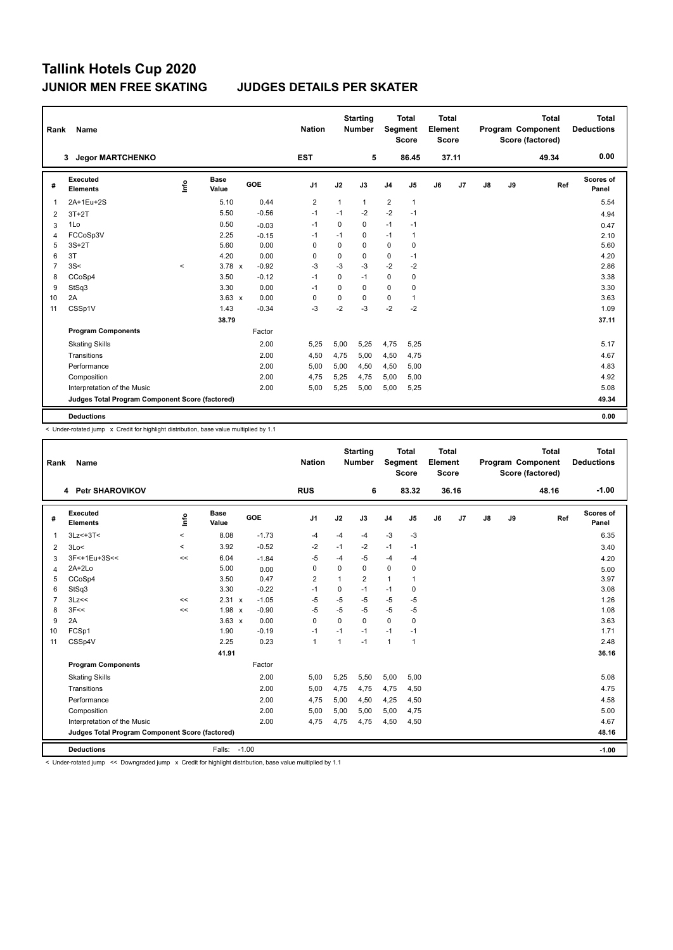| Rank           | Name                                            |               |                      |         | <b>Nation</b>  |             | <b>Starting</b><br><b>Number</b> | Segment        | <b>Total</b><br><b>Score</b> | <b>Total</b><br>Element<br>Score |       |    |    | <b>Total</b><br>Program Component<br>Score (factored) | Total<br><b>Deductions</b> |
|----------------|-------------------------------------------------|---------------|----------------------|---------|----------------|-------------|----------------------------------|----------------|------------------------------|----------------------------------|-------|----|----|-------------------------------------------------------|----------------------------|
|                | <b>Jegor MARTCHENKO</b><br>3                    |               |                      |         | <b>EST</b>     |             | 5                                |                | 86.45                        |                                  | 37.11 |    |    | 49.34                                                 | 0.00                       |
| #              | Executed<br><b>Elements</b>                     | $\frac{6}{2}$ | <b>Base</b><br>Value | GOE     | J <sub>1</sub> | J2          | J3                               | J <sub>4</sub> | J <sub>5</sub>               | J6                               | J7    | J8 | J9 | Ref                                                   | Scores of<br>Panel         |
| 1              | 2A+1Eu+2S                                       |               | 5.10                 | 0.44    | $\overline{2}$ | 1           | $\mathbf{1}$                     | $\overline{2}$ | $\mathbf{1}$                 |                                  |       |    |    |                                                       | 5.54                       |
| 2              | $3T+2T$                                         |               | 5.50                 | $-0.56$ | $-1$           | $-1$        | $-2$                             | $-2$           | $-1$                         |                                  |       |    |    |                                                       | 4.94                       |
| 3              | 1Lo                                             |               | 0.50                 | $-0.03$ | $-1$           | 0           | 0                                | $-1$           | $-1$                         |                                  |       |    |    |                                                       | 0.47                       |
| 4              | FCCoSp3V                                        |               | 2.25                 | $-0.15$ | -1             | $-1$        | 0                                | $-1$           | 1                            |                                  |       |    |    |                                                       | 2.10                       |
| 5              | $3S+2T$                                         |               | 5.60                 | 0.00    | 0              | 0           | 0                                | 0              | 0                            |                                  |       |    |    |                                                       | 5.60                       |
| 6              | 3T                                              |               | 4.20                 | 0.00    | 0              | $\mathbf 0$ | 0                                | 0              | $-1$                         |                                  |       |    |    |                                                       | 4.20                       |
| $\overline{7}$ | 3S<                                             | $\prec$       | $3.78 \times$        | $-0.92$ | -3             | $-3$        | $-3$                             | $-2$           | $-2$                         |                                  |       |    |    |                                                       | 2.86                       |
| 8              | CCoSp4                                          |               | 3.50                 | $-0.12$ | $-1$           | $\Omega$    | $-1$                             | $\mathbf 0$    | 0                            |                                  |       |    |    |                                                       | 3.38                       |
| 9              | StSq3                                           |               | 3.30                 | 0.00    | $-1$           | $\Omega$    | $\Omega$                         | 0              | 0                            |                                  |       |    |    |                                                       | 3.30                       |
| 10             | 2A                                              |               | $3.63 \times$        | 0.00    | 0              | 0           | 0                                | 0              | 1                            |                                  |       |    |    |                                                       | 3.63                       |
| 11             | CSSp1V                                          |               | 1.43                 | $-0.34$ | $-3$           | $-2$        | $-3$                             | $-2$           | $-2$                         |                                  |       |    |    |                                                       | 1.09                       |
|                |                                                 |               | 38.79                |         |                |             |                                  |                |                              |                                  |       |    |    |                                                       | 37.11                      |
|                | <b>Program Components</b>                       |               |                      | Factor  |                |             |                                  |                |                              |                                  |       |    |    |                                                       |                            |
|                | <b>Skating Skills</b>                           |               |                      | 2.00    | 5,25           | 5,00        | 5,25                             | 4,75           | 5,25                         |                                  |       |    |    |                                                       | 5.17                       |
|                | Transitions                                     |               |                      | 2.00    | 4,50           | 4,75        | 5,00                             | 4,50           | 4,75                         |                                  |       |    |    |                                                       | 4.67                       |
|                | Performance                                     |               |                      | 2.00    | 5,00           | 5,00        | 4,50                             | 4,50           | 5,00                         |                                  |       |    |    |                                                       | 4.83                       |
|                | Composition                                     |               |                      | 2.00    | 4,75           | 5,25        | 4,75                             | 5,00           | 5,00                         |                                  |       |    |    |                                                       | 4.92                       |
|                | Interpretation of the Music                     |               |                      | 2.00    | 5,00           | 5,25        | 5,00                             | 5,00           | 5,25                         |                                  |       |    |    |                                                       | 5.08                       |
|                | Judges Total Program Component Score (factored) |               |                      |         |                |             |                                  |                |                              |                                  |       |    |    |                                                       | 49.34                      |
|                | <b>Deductions</b>                               |               |                      |         |                |             |                                  |                |                              |                                  |       |    |    |                                                       | 0.00                       |

< Under-rotated jump x Credit for highlight distribution, base value multiplied by 1.1

| Rank           | Name                                            |         |                      |         | <b>Nation</b>  |          | <b>Starting</b><br><b>Number</b> | Segment        | <b>Total</b><br><b>Score</b> | <b>Total</b><br>Element<br><b>Score</b> |       |               |    | <b>Total</b><br>Program Component<br>Score (factored) | Total<br><b>Deductions</b> |
|----------------|-------------------------------------------------|---------|----------------------|---------|----------------|----------|----------------------------------|----------------|------------------------------|-----------------------------------------|-------|---------------|----|-------------------------------------------------------|----------------------------|
|                | 4 Petr SHAROVIKOV                               |         |                      |         | <b>RUS</b>     |          | 6                                |                | 83.32                        |                                         | 36.16 |               |    | 48.16                                                 | $-1.00$                    |
| #              | Executed<br><b>Elements</b>                     | lnfo    | <b>Base</b><br>Value | GOE     | J <sub>1</sub> | J2       | J3                               | J <sub>4</sub> | J <sub>5</sub>               | J6                                      | J7    | $\mathsf{J}8$ | J9 | Ref                                                   | <b>Scores of</b><br>Panel  |
| $\mathbf{1}$   | $3Lz<+3T<$                                      | $\,<$   | 8.08                 | $-1.73$ | $-4$           | $-4$     | $-4$                             | $-3$           | $-3$                         |                                         |       |               |    |                                                       | 6.35                       |
| 2              | 3Lo<                                            | $\prec$ | 3.92                 | $-0.52$ | $-2$           | $-1$     | $-2$                             | $-1$           | $-1$                         |                                         |       |               |    |                                                       | 3.40                       |
| 3              | 3F<+1Eu+3S<<                                    | <<      | 6.04                 | $-1.84$ | $-5$           | $-4$     | $-5$                             | $-4$           | $-4$                         |                                         |       |               |    |                                                       | 4.20                       |
| $\overline{4}$ | $2A+2Lo$                                        |         | 5.00                 | 0.00    | 0              | $\Omega$ | $\Omega$                         | $\mathbf 0$    | 0                            |                                         |       |               |    |                                                       | 5.00                       |
| 5              | CCoSp4                                          |         | 3.50                 | 0.47    | $\overline{2}$ | 1        | $\overline{2}$                   | $\mathbf{1}$   | 1                            |                                         |       |               |    |                                                       | 3.97                       |
| 6              | StSq3                                           |         | 3.30                 | $-0.22$ | $-1$           | 0        | $-1$                             | $-1$           | 0                            |                                         |       |               |    |                                                       | 3.08                       |
| $\overline{7}$ | 3Lz<<                                           | <<      | $2.31 \times$        | $-1.05$ | $-5$           | $-5$     | $-5$                             | $-5$           | $-5$                         |                                         |       |               |    |                                                       | 1.26                       |
| 8              | 3F<<                                            | <<      | 1.98<br>$\mathbf{x}$ | $-0.90$ | $-5$           | $-5$     | $-5$                             | $-5$           | $-5$                         |                                         |       |               |    |                                                       | 1.08                       |
| 9              | 2A                                              |         | $3.63 \times$        | 0.00    | $\Omega$       | $\Omega$ | $\Omega$                         | $\Omega$       | 0                            |                                         |       |               |    |                                                       | 3.63                       |
| 10             | FCSp1                                           |         | 1.90                 | $-0.19$ | $-1$           | $-1$     | $-1$                             | $-1$           | $-1$                         |                                         |       |               |    |                                                       | 1.71                       |
| 11             | CSSp4V                                          |         | 2.25                 | 0.23    | $\mathbf{1}$   | 1        | $-1$                             | $\mathbf{1}$   | $\mathbf{1}$                 |                                         |       |               |    |                                                       | 2.48                       |
|                |                                                 |         | 41.91                |         |                |          |                                  |                |                              |                                         |       |               |    |                                                       | 36.16                      |
|                | <b>Program Components</b>                       |         |                      | Factor  |                |          |                                  |                |                              |                                         |       |               |    |                                                       |                            |
|                | <b>Skating Skills</b>                           |         |                      | 2.00    | 5,00           | 5,25     | 5,50                             | 5,00           | 5,00                         |                                         |       |               |    |                                                       | 5.08                       |
|                | Transitions                                     |         |                      | 2.00    | 5,00           | 4,75     | 4,75                             | 4,75           | 4,50                         |                                         |       |               |    |                                                       | 4.75                       |
|                | Performance                                     |         |                      | 2.00    | 4,75           | 5,00     | 4.50                             | 4,25           | 4,50                         |                                         |       |               |    |                                                       | 4.58                       |
|                | Composition                                     |         |                      | 2.00    | 5,00           | 5,00     | 5,00                             | 5,00           | 4,75                         |                                         |       |               |    |                                                       | 5.00                       |
|                | Interpretation of the Music                     |         |                      | 2.00    | 4,75           | 4,75     | 4,75                             | 4,50           | 4,50                         |                                         |       |               |    |                                                       | 4.67                       |
|                | Judges Total Program Component Score (factored) |         |                      |         |                |          |                                  |                |                              |                                         |       |               |    |                                                       | 48.16                      |
|                | <b>Deductions</b>                               |         | Falls:               | $-1.00$ |                |          |                                  |                |                              |                                         |       |               |    |                                                       | $-1.00$                    |

< Under-rotated jump << Downgraded jump x Credit for highlight distribution, base value multiplied by 1.1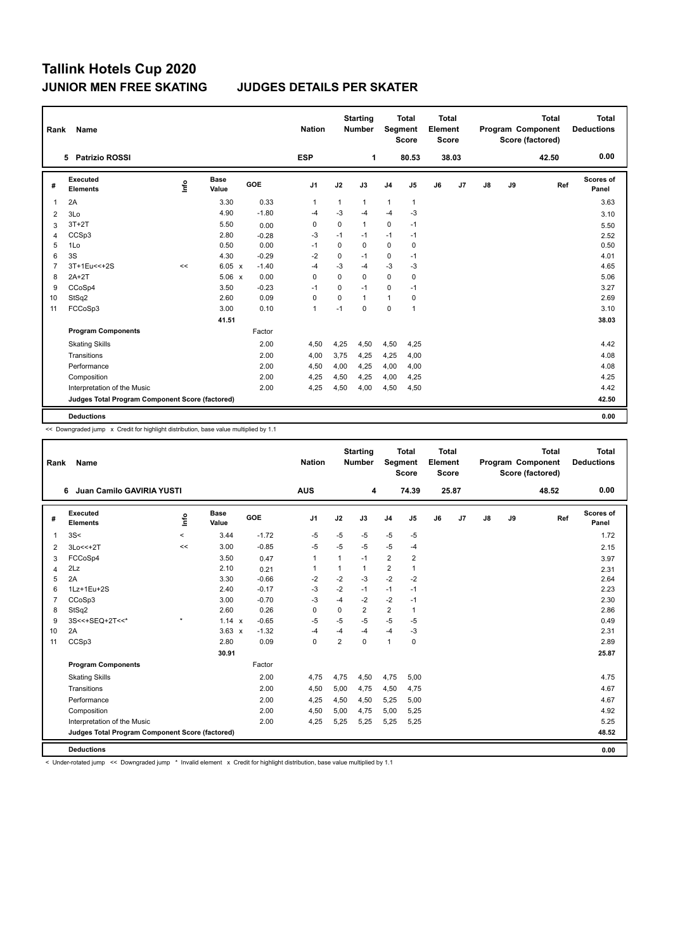| Rank           | Name                                            |      |               |         | <b>Nation</b>  |             | <b>Starting</b><br><b>Number</b> | <b>Segment</b> | <b>Total</b><br><b>Score</b> | <b>Total</b><br>Element<br><b>Score</b> |       |               |    | <b>Total</b><br>Program Component<br>Score (factored) | <b>Total</b><br><b>Deductions</b> |
|----------------|-------------------------------------------------|------|---------------|---------|----------------|-------------|----------------------------------|----------------|------------------------------|-----------------------------------------|-------|---------------|----|-------------------------------------------------------|-----------------------------------|
|                | 5 Patrizio ROSSI                                |      |               |         | <b>ESP</b>     |             | 1                                |                | 80.53                        |                                         | 38.03 |               |    | 42.50                                                 | 0.00                              |
| #              | Executed<br><b>Elements</b>                     | lnfo | Base<br>Value | GOE     | J <sub>1</sub> | J2          | J3                               | J <sub>4</sub> | J <sub>5</sub>               | J6                                      | J7    | $\mathsf{J}8$ | J9 | Ref                                                   | Scores of<br>Panel                |
| 1              | 2A                                              |      | 3.30          | 0.33    | $\mathbf{1}$   | 1           | $\mathbf{1}$                     | $\mathbf{1}$   | $\mathbf{1}$                 |                                         |       |               |    |                                                       | 3.63                              |
| 2              | 3Lo                                             |      | 4.90          | $-1.80$ | $-4$           | $-3$        | $-4$                             | $-4$           | -3                           |                                         |       |               |    |                                                       | 3.10                              |
| 3              | $3T+2T$                                         |      | 5.50          | 0.00    | 0              | $\mathbf 0$ | 1                                | 0              | $-1$                         |                                         |       |               |    |                                                       | 5.50                              |
| 4              | CCSp3                                           |      | 2.80          | $-0.28$ | $-3$           | $-1$        | $-1$                             | $-1$           | $-1$                         |                                         |       |               |    |                                                       | 2.52                              |
| 5              | 1Lo                                             |      | 0.50          | 0.00    | $-1$           | $\Omega$    | $\Omega$                         | $\mathbf 0$    | 0                            |                                         |       |               |    |                                                       | 0.50                              |
| 6              | 3S                                              |      | 4.30          | $-0.29$ | $-2$           | 0           | $-1$                             | 0              | $-1$                         |                                         |       |               |    |                                                       | 4.01                              |
| $\overline{7}$ | 3T+1Eu<<+2S                                     | <<   | 6.05 x        | $-1.40$ | $-4$           | $-3$        | $-4$                             | $-3$           | $-3$                         |                                         |       |               |    |                                                       | 4.65                              |
| 8              | $2A+2T$                                         |      | $5.06 \times$ | 0.00    | 0              | $\Omega$    | 0                                | 0              | 0                            |                                         |       |               |    |                                                       | 5.06                              |
| 9              | CCoSp4                                          |      | 3.50          | $-0.23$ | -1             | 0           | $-1$                             | $\mathbf 0$    | $-1$                         |                                         |       |               |    |                                                       | 3.27                              |
| 10             | StSq2                                           |      | 2.60          | 0.09    | 0              | $\mathbf 0$ | $\mathbf{1}$                     | 1              | 0                            |                                         |       |               |    |                                                       | 2.69                              |
| 11             | FCCoSp3                                         |      | 3.00          | 0.10    | $\overline{1}$ | $-1$        | $\mathbf 0$                      | $\mathbf 0$    | $\mathbf{1}$                 |                                         |       |               |    |                                                       | 3.10                              |
|                |                                                 |      | 41.51         |         |                |             |                                  |                |                              |                                         |       |               |    |                                                       | 38.03                             |
|                | <b>Program Components</b>                       |      |               | Factor  |                |             |                                  |                |                              |                                         |       |               |    |                                                       |                                   |
|                | <b>Skating Skills</b>                           |      |               | 2.00    | 4,50           | 4,25        | 4,50                             | 4,50           | 4,25                         |                                         |       |               |    |                                                       | 4.42                              |
|                | Transitions                                     |      |               | 2.00    | 4,00           | 3,75        | 4.25                             | 4,25           | 4,00                         |                                         |       |               |    |                                                       | 4.08                              |
|                | Performance                                     |      |               | 2.00    | 4,50           | 4,00        | 4,25                             | 4,00           | 4,00                         |                                         |       |               |    |                                                       | 4.08                              |
|                | Composition                                     |      |               | 2.00    | 4,25           | 4,50        | 4,25                             | 4,00           | 4,25                         |                                         |       |               |    |                                                       | 4.25                              |
|                | Interpretation of the Music                     |      |               | 2.00    | 4,25           | 4,50        | 4,00                             | 4,50           | 4,50                         |                                         |       |               |    |                                                       | 4.42                              |
|                | Judges Total Program Component Score (factored) |      |               |         |                |             |                                  |                |                              |                                         |       |               |    |                                                       | 42.50                             |
|                | <b>Deductions</b>                               |      |               |         |                |             |                                  |                |                              |                                         |       |               |    |                                                       | 0.00                              |

<< Downgraded jump x Credit for highlight distribution, base value multiplied by 1.1

|                | Name<br>Rank                                    |         |                      |         |                |                         | <b>Starting</b><br><b>Number</b> | Segment                 | <b>Total</b><br><b>Score</b> | <b>Total</b><br>Element<br><b>Score</b> |       |    |    | <b>Total</b><br>Program Component<br>Score (factored) | <b>Total</b><br><b>Deductions</b> |
|----------------|-------------------------------------------------|---------|----------------------|---------|----------------|-------------------------|----------------------------------|-------------------------|------------------------------|-----------------------------------------|-------|----|----|-------------------------------------------------------|-----------------------------------|
|                | Juan Camilo GAVIRIA YUSTI<br>6                  |         |                      |         | <b>AUS</b>     |                         | 4                                |                         | 74.39                        |                                         | 25.87 |    |    | 48.52                                                 | 0.00                              |
| #              | Executed<br><b>Elements</b>                     | ١m      | <b>Base</b><br>Value | GOE     | J <sub>1</sub> | J2                      | J3                               | J <sub>4</sub>          | $\mathsf{J}5$                | J6                                      | J7    | J8 | J9 | Ref                                                   | Scores of<br>Panel                |
| $\mathbf{1}$   | 3S<                                             | $\prec$ | 3.44                 | $-1.72$ | $-5$           | $-5$                    | $-5$                             | $-5$                    | $-5$                         |                                         |       |    |    |                                                       | 1.72                              |
| 2              | 3Lo<<+2T                                        | <<      | 3.00                 | $-0.85$ | $-5$           | $-5$                    | $-5$                             | $-5$                    | $-4$                         |                                         |       |    |    |                                                       | 2.15                              |
| 3              | FCCoSp4                                         |         | 3.50                 | 0.47    | $\mathbf{1}$   |                         | $-1$                             | $\overline{\mathbf{c}}$ | $\overline{\mathbf{c}}$      |                                         |       |    |    |                                                       | 3.97                              |
| $\overline{4}$ | 2Lz                                             |         | 2.10                 | 0.21    | $\mathbf{1}$   | $\mathbf{1}$            | 1                                | $\overline{2}$          | $\mathbf{1}$                 |                                         |       |    |    |                                                       | 2.31                              |
| 5              | 2A                                              |         | 3.30                 | $-0.66$ | $-2$           | $-2$                    | $-3$                             | $-2$                    | $-2$                         |                                         |       |    |    |                                                       | 2.64                              |
| 6              | 1Lz+1Eu+2S                                      |         | 2.40                 | $-0.17$ | $-3$           | $-2$                    | $-1$                             | $-1$                    | $-1$                         |                                         |       |    |    |                                                       | 2.23                              |
| $\overline{7}$ | CCoSp3                                          |         | 3.00                 | $-0.70$ | $-3$           | $-4$                    | $-2$                             | $-2$                    | $-1$                         |                                         |       |    |    |                                                       | 2.30                              |
| 8              | StSq2                                           |         | 2.60                 | 0.26    | 0              | $\Omega$                | $\overline{2}$                   | $\overline{2}$          | 1                            |                                         |       |    |    |                                                       | 2.86                              |
| 9              | 3S<<+SEQ+2T<<*                                  | $\star$ | $1.14 \times$        | $-0.65$ | $-5$           | $-5$                    | $-5$                             | $-5$                    | $-5$                         |                                         |       |    |    |                                                       | 0.49                              |
| 10             | 2A                                              |         | $3.63 \times$        | $-1.32$ | $-4$           | $-4$                    | $-4$                             | $-4$                    | -3                           |                                         |       |    |    |                                                       | 2.31                              |
| 11             | CCSp3                                           |         | 2.80                 | 0.09    | 0              | $\overline{\mathbf{c}}$ | 0                                | $\mathbf{1}$            | $\mathbf 0$                  |                                         |       |    |    |                                                       | 2.89                              |
|                |                                                 |         | 30.91                |         |                |                         |                                  |                         |                              |                                         |       |    |    |                                                       | 25.87                             |
|                | <b>Program Components</b>                       |         |                      | Factor  |                |                         |                                  |                         |                              |                                         |       |    |    |                                                       |                                   |
|                | <b>Skating Skills</b>                           |         |                      | 2.00    | 4,75           | 4,75                    | 4,50                             | 4,75                    | 5,00                         |                                         |       |    |    |                                                       | 4.75                              |
|                | Transitions                                     |         |                      | 2.00    | 4,50           | 5,00                    | 4,75                             | 4,50                    | 4,75                         |                                         |       |    |    |                                                       | 4.67                              |
|                | Performance                                     |         |                      | 2.00    | 4,25           | 4,50                    | 4,50                             | 5,25                    | 5,00                         |                                         |       |    |    |                                                       | 4.67                              |
|                | Composition                                     |         |                      | 2.00    | 4,50           | 5,00                    | 4,75                             | 5,00                    | 5,25                         |                                         |       |    |    |                                                       | 4.92                              |
|                | Interpretation of the Music                     |         |                      | 2.00    | 4,25           | 5,25                    | 5,25                             | 5,25                    | 5,25                         |                                         |       |    |    |                                                       | 5.25                              |
|                | Judges Total Program Component Score (factored) |         |                      |         |                |                         |                                  |                         |                              |                                         |       |    |    |                                                       | 48.52                             |
|                | <b>Deductions</b>                               |         |                      |         |                |                         |                                  |                         |                              |                                         |       |    |    |                                                       | 0.00                              |

< Under-rotated jump << Downgraded jump \* Invalid element x Credit for highlight distribution, base value multiplied by 1.1